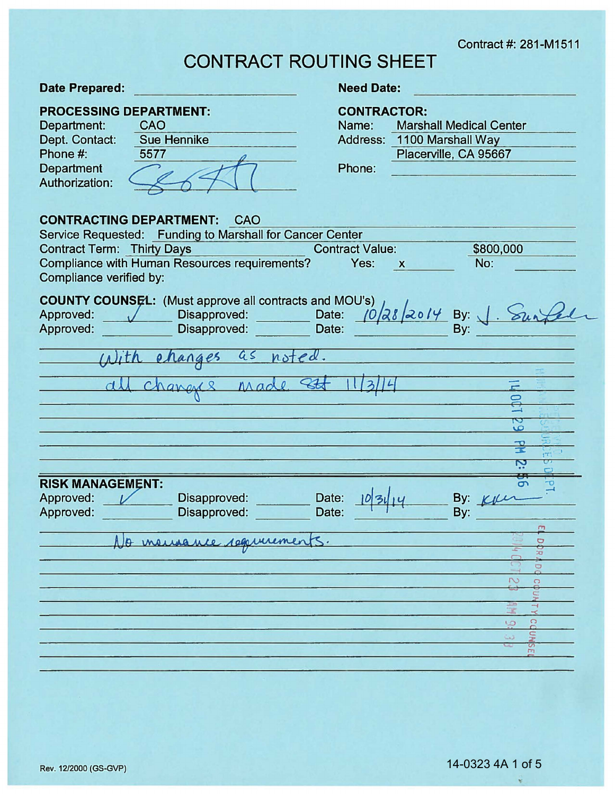Contract#: 281-M1511

# **CONTRACT ROUTING SHEET**

| <b>Date Prepared:</b>                                                                                                                                  | <b>Need Date:</b>                                                                                                                                                                         |
|--------------------------------------------------------------------------------------------------------------------------------------------------------|-------------------------------------------------------------------------------------------------------------------------------------------------------------------------------------------|
| <b>PROCESSING DEPARTMENT:</b><br>Department:<br><b>CAO</b><br><b>Sue Hennike</b><br>Dept. Contact:<br>Phone #:<br>5577<br>Department<br>Authorization: | <b>CONTRACTOR:</b><br>Name:<br><b>Marshall Medical Center</b><br>Address: 1100 Marshall Way<br>Placerville, CA 95667<br>Phone:                                                            |
| <b>CONTRACTING DEPARTMENT:</b><br><b>CAO</b>                                                                                                           |                                                                                                                                                                                           |
| Service Requested: Funding to Marshall for Cancer Center                                                                                               |                                                                                                                                                                                           |
| <b>Contract Term: Thirty Days</b><br>Compliance with Human Resources requirements?<br>Compliance verified by:                                          | \$800,000<br><b>Contract Value:</b><br>No:<br>Yes:<br>$\boldsymbol{\mathsf{x}}$                                                                                                           |
| <b>COUNTY COUNSEL:</b> (Must approve all contracts and MOU's)<br>Disapproved:<br>Approved:<br>Disapproved:<br>Approved:                                | s <sub>1</sub> $\frac{10}{28}$ $\frac{2014}{\text{By:}}$<br>Date:<br>Date:                                                                                                                |
| 45<br>noted.<br>langes<br>Mac                                                                                                                          | $\mathbf{S}$<br>N<br>O<br>곶<br>ي:                                                                                                                                                         |
|                                                                                                                                                        |                                                                                                                                                                                           |
| <b>RISK MANAGEMENT:</b><br>Approved:<br>Disapproved:<br>Approved:<br>Disapproved:                                                                      | $\sigma$<br>Date:<br>By: $Kilu$<br>By:<br>Date:<br>m                                                                                                                                      |
| mensence requirements.                                                                                                                                 | $\circ$<br>۰<br>h<br>CC.<br>$\Box$<br>$\bigcirc$<br>$\circ$<br>$\sim$<br>$\mathbf C$<br>$C_{\text{max}}$<br><u>una</u><br>$-4$<br>EX.<br>$\prec$<br>ဂ<br>LO<br>$\subset$<br>تىب<br>m<br>m |

14-0323 4A 1 of 5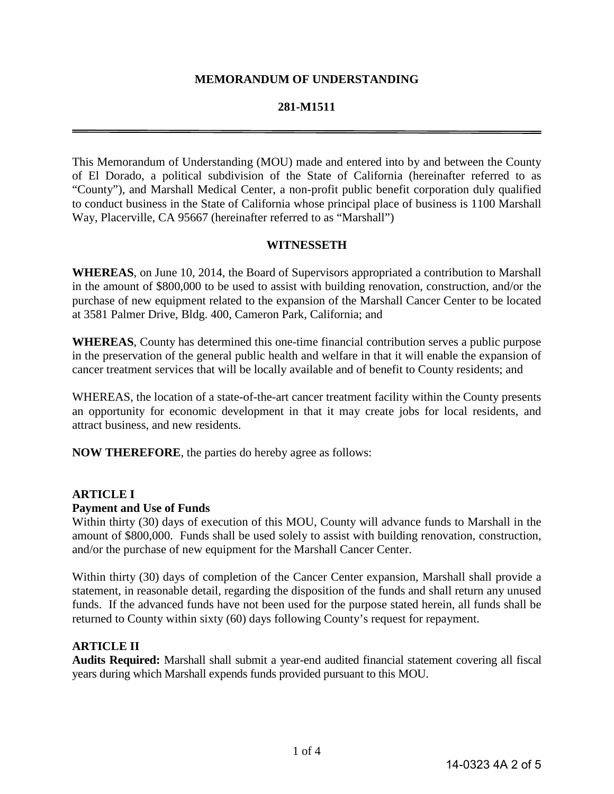## **MEMORANDUM OF UNDERSTANDING**

## **281-M1511**

This Memorandum of Understanding (MOU) made and entered into by and between the County of El Dorado, a political subdivision of the State of California (hereinafter referred to as "County"), and Marshall Medical Center, a non-profit public benefit corporation duly qualified to conduct business in the State of California whose principal place of business is 1100 Marshall Way, Placerville, CA 95667 (hereinafter referred to as "Marshall")

#### **WITNESSETH**

**WHEREAS**, on June 10, 2014, the Board of Supervisors appropriated a contribution to Marshall in the amount of \$800,000 to be used to assist with building renovation, construction, and/or the purchase of new equipment related to the expansion of the Marshall Cancer Center to be located at 3581 Palmer Drive, Bldg. 400, Cameron Park, California; and

**WHEREAS**, County has determined this one-time financial contribution serves a public purpose in the preservation of the general public health and welfare in that it will enable the expansion of cancer treatment services that will be locally available and of benefit to County residents; and

WHEREAS, the location of a state-of-the-art cancer treatment facility within the County presents an opportunity for economic development in that it may create jobs for local residents, and attract business, and new residents.

**NOW THEREFORE**, the parties do hereby agree as follows:

#### **ARTICLE I Payment and Use of Funds**

Within thirty (30) days of execution of this MOU, County will advance funds to Marshall in the amount of \$800,000. Funds shall be used solely to assist with building renovation, construction, and/or the purchase of new equipment for the Marshall Cancer Center.

Within thirty (30) days of completion of the Cancer Center expansion, Marshall shall provide a statement, in reasonable detail, regarding the disposition of the funds and shall return any unused funds. If the advanced funds have not been used for the purpose stated herein, all funds shall be returned to County within sixty (60) days following County's request for repayment.

## **ARTICLE II**

**Audits Required:** Marshall shall submit a year-end audited financial statement covering all fiscal years during which Marshall expends funds provided pursuant to this MOU.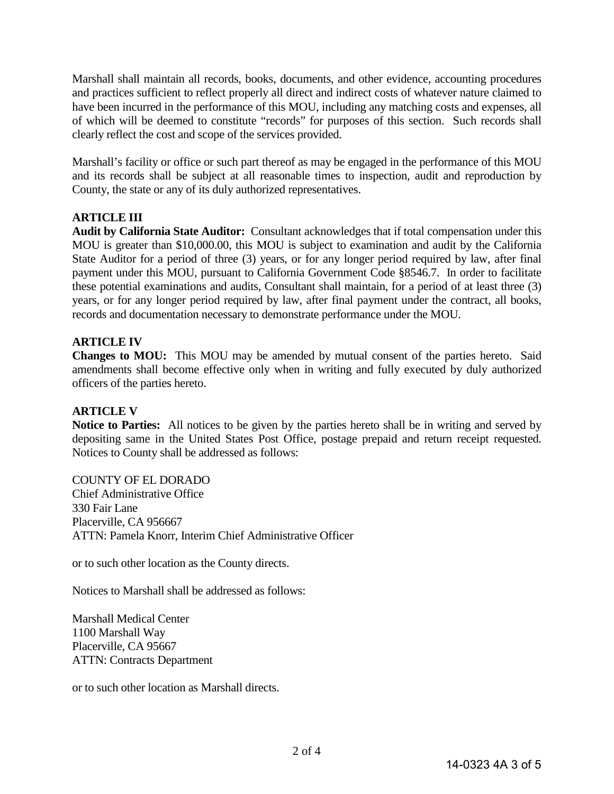Marshall shall maintain all records, books, documents, and other evidence, accounting procedures and practices sufficient to reflect properly all direct and indirect costs of whatever nature claimed to have been incurred in the performance of this MOU, including any matching costs and expenses, all of which will be deemed to constitute "records" for purposes of this section. Such records shall clearly reflect the cost and scope of the services provided.

Marshall's facility or office or such part thereof as may be engaged in the performance of this MOU and its records shall be subject at all reasonable times to inspection, audit and reproduction by County, the state or any of its duly authorized representatives.

## **ARTICLE III**

**Audit by California State Auditor:** Consultant acknowledges that if total compensation under this MOU is greater than \$10,000.00, this MOU is subject to examination and audit by the California State Auditor for a period of three (3) years, or for any longer period required by law, after final payment under this MOU, pursuant to California Government Code §8546.7. In order to facilitate these potential examinations and audits, Consultant shall maintain, for a period of at least three (3) years, or for any longer period required by law, after final payment under the contract, all books, records and documentation necessary to demonstrate performance under the MOU.

## **ARTICLE IV**

**Changes to MOU:** This MOU may be amended by mutual consent of the parties hereto. Said amendments shall become effective only when in writing and fully executed by duly authorized officers of the parties hereto.

## **ARTICLE V**

**Notice to Parties:** All notices to be given by the parties hereto shall be in writing and served by depositing same in the United States Post Office, postage prepaid and return receipt requested. Notices to County shall be addressed as follows:

COUNTY OF EL DORADO Chief Administrative Office 330 Fair Lane Placerville, CA 956667 ATTN: Pamela Knorr, Interim Chief Administrative Officer

or to such other location as the County directs.

Notices to Marshall shall be addressed as follows:

Marshall Medical Center 1100 Marshall Way Placerville, CA 95667 ATTN: Contracts Department

or to such other location as Marshall directs.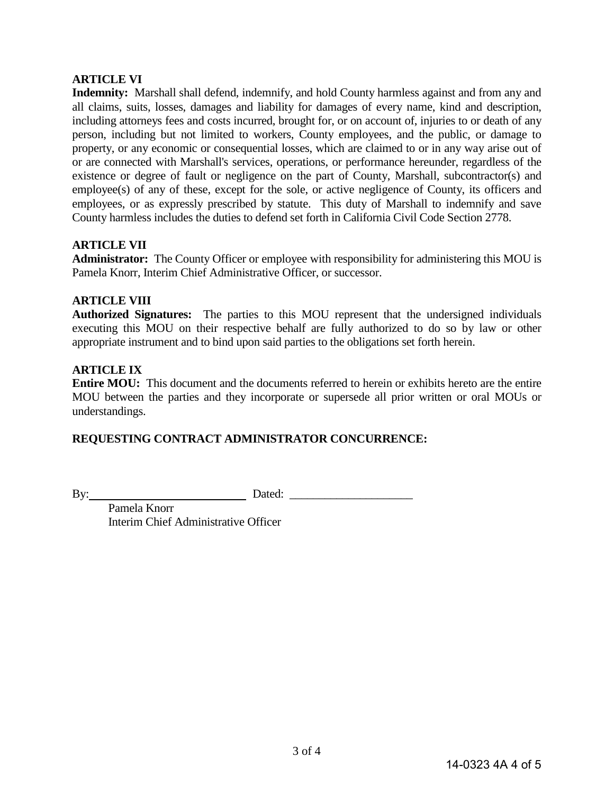## **ARTICLE VI**

**Indemnity:** Marshall shall defend, indemnify, and hold County harmless against and from any and all claims, suits, losses, damages and liability for damages of every name, kind and description, including attorneys fees and costs incurred, brought for, or on account of, injuries to or death of any person, including but not limited to workers, County employees, and the public, or damage to property, or any economic or consequential losses, which are claimed to or in any way arise out of or are connected with Marshall's services, operations, or performance hereunder, regardless of the existence or degree of fault or negligence on the part of County, Marshall, subcontractor(s) and employee(s) of any of these, except for the sole, or active negligence of County, its officers and employees, or as expressly prescribed by statute. This duty of Marshall to indemnify and save County harmless includes the duties to defend set forth in California Civil Code Section 2778.

## **ARTICLE VII**

**Administrator:** The County Officer or employee with responsibility for administering this MOU is Pamela Knorr, Interim Chief Administrative Officer, or successor.

#### **ARTICLE VIII**

**Authorized Signatures:** The parties to this MOU represent that the undersigned individuals executing this MOU on their respective behalf are fully authorized to do so by law or other appropriate instrument and to bind upon said parties to the obligations set forth herein.

#### **ARTICLE IX**

**Entire MOU:** This document and the documents referred to herein or exhibits hereto are the entire MOU between the parties and they incorporate or supersede all prior written or oral MOUs or understandings.

## **REQUESTING CONTRACT ADMINISTRATOR CONCURRENCE:**

By: Dated: \_\_\_\_\_\_\_\_\_\_\_\_\_\_\_\_\_\_\_\_\_

Pamela Knorr Interim Chief Administrative Officer